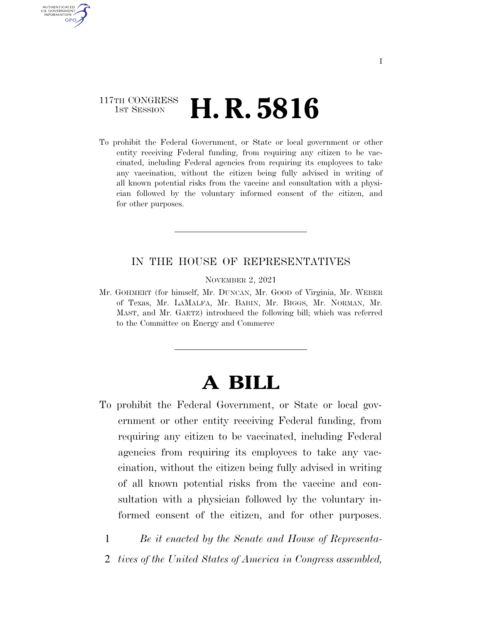## 117TH CONGRESS **1st Session H. R. 5816**

AUTHENTICATED U.S. GOVERNMENT GPO

> To prohibit the Federal Government, or State or local government or other entity receiving Federal funding, from requiring any citizen to be vaccinated, including Federal agencies from requiring its employees to take any vaccination, without the citizen being fully advised in writing of all known potential risks from the vaccine and consultation with a physician followed by the voluntary informed consent of the citizen, and for other purposes.

### IN THE HOUSE OF REPRESENTATIVES

NOVEMBER 2, 2021

Mr. GOHMERT (for himself, Mr. DUNCAN, Mr. GOOD of Virginia, Mr. WEBER of Texas, Mr. LAMALFA, Mr. BABIN, Mr. BIGGS, Mr. NORMAN, Mr. MAST, and Mr. GAETZ) introduced the following bill; which was referred to the Committee on Energy and Commerce

# **A BILL**

To prohibit the Federal Government, or State or local government or other entity receiving Federal funding, from requiring any citizen to be vaccinated, including Federal agencies from requiring its employees to take any vaccination, without the citizen being fully advised in writing of all known potential risks from the vaccine and consultation with a physician followed by the voluntary informed consent of the citizen, and for other purposes.

1 *Be it enacted by the Senate and House of Representa-*

2 *tives of the United States of America in Congress assembled,*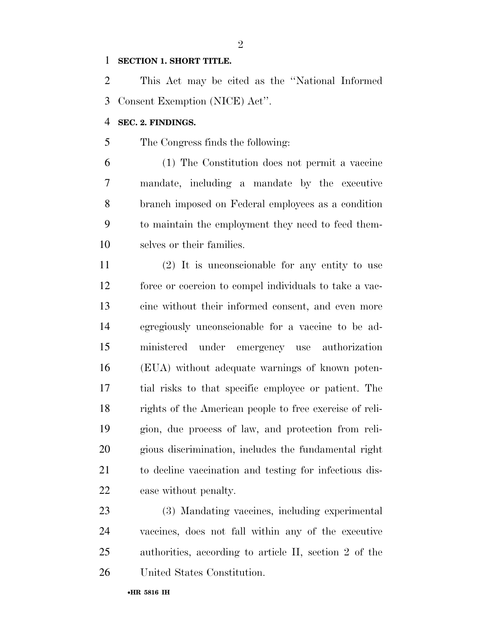#### **SECTION 1. SHORT TITLE.**

 This Act may be cited as the ''National Informed Consent Exemption (NICE) Act''.

 $\mathfrak{D}$ 

#### **SEC. 2. FINDINGS.**

The Congress finds the following:

 (1) The Constitution does not permit a vaccine mandate, including a mandate by the executive branch imposed on Federal employees as a condition to maintain the employment they need to feed them-selves or their families.

 (2) It is unconscionable for any entity to use force or coercion to compel individuals to take a vac- cine without their informed consent, and even more egregiously unconscionable for a vaccine to be ad- ministered under emergency use authorization (EUA) without adequate warnings of known poten- tial risks to that specific employee or patient. The rights of the American people to free exercise of reli- gion, due process of law, and protection from reli- gious discrimination, includes the fundamental right to decline vaccination and testing for infectious dis-ease without penalty.

 (3) Mandating vaccines, including experimental vaccines, does not fall within any of the executive authorities, according to article II, section 2 of the United States Constitution.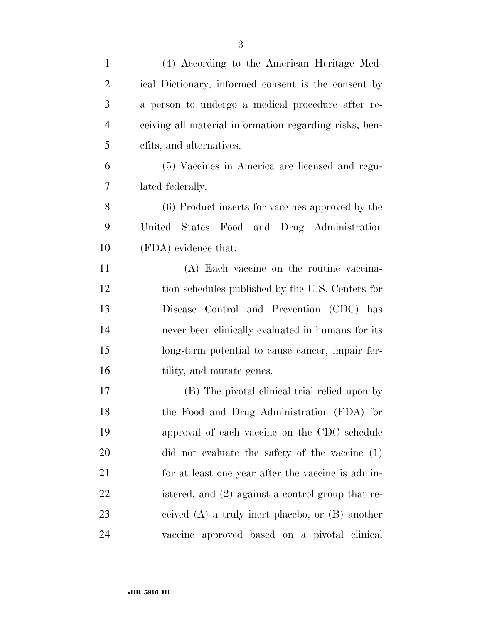| $\mathbf{1}$   | (4) According to the American Heritage Med-            |
|----------------|--------------------------------------------------------|
| $\overline{2}$ | ical Dictionary, informed consent is the consent by    |
| 3              | a person to undergo a medical procedure after re-      |
| $\overline{4}$ | ceiving all material information regarding risks, ben- |
| 5              | efits, and alternatives.                               |
| 6              | (5) Vaccines in America are licensed and regu-         |
| 7              | lated federally.                                       |
| 8              | (6) Product inserts for vaccines approved by the       |
| 9              | States Food and Drug Administration<br>United          |
| 10             | (FDA) evidence that:                                   |
| 11             | (A) Each vaccine on the routine vaccina-               |
| 12             | tion schedules published by the U.S. Centers for       |
| 13             | Disease Control and Prevention (CDC) has               |
| 14             | never been clinically evaluated in humans for its      |
| 15             | long-term potential to cause cancer, impair fer-       |
| 16             | tility, and mutate genes.                              |
| 17             | (B) The pivotal clinical trial relied upon by          |
| 18             | the Food and Drug Administration (FDA) for             |
| 19             | approval of each vaccine on the CDC schedule           |
| 20             | did not evaluate the safety of the vaccine (1)         |
| 21             | for at least one year after the vaccine is admin-      |
| 22             | istered, and (2) against a control group that re-      |
| 23             | ceived $(A)$ a truly inert placebo, or $(B)$ another   |
| 24             | vaccine approved based on a pivotal clinical           |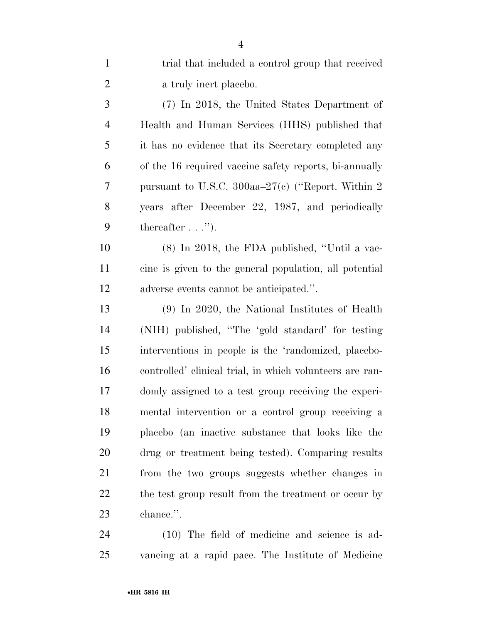| $\mathbf{1}$   | trial that included a control group that received        |
|----------------|----------------------------------------------------------|
| $\overline{2}$ | a truly inert placebo.                                   |
| 3              | (7) In 2018, the United States Department of             |
| $\overline{4}$ | Health and Human Services (HHS) published that           |
| 5              | it has no evidence that its Secretary completed any      |
| 6              | of the 16 required vaccine safety reports, bi-annually   |
| 7              | pursuant to U.S.C. 300aa $-27(e)$ ("Report. Within 2     |
| 8              | years after December 22, 1987, and periodically          |
| 9              | thereafter $\dots$ ").                                   |
| 10             | $(8)$ In 2018, the FDA published, "Until a vac-          |
| 11             | cine is given to the general population, all potential   |
| 12             | adverse events cannot be anticipated.".                  |
| 13             | $(9)$ In 2020, the National Institutes of Health         |
| 14             | (NIH) published, "The 'gold standard' for testing        |
| 15             | interventions in people is the 'randomized, placebo-     |
| 16             | controlled' clinical trial, in which volunteers are ran- |
| 17             | domly assigned to a test group receiving the experi-     |
| 18             | mental intervention or a control group receiving a       |
| 19             | placebo (an inactive substance that looks like the       |
| 20             | drug or treatment being tested). Comparing results       |
| 21             | from the two groups suggests whether changes in          |
| <u>22</u>      | the test group result from the treatment or occur by     |
| 23             | chance.".                                                |
|                |                                                          |

 (10) The field of medicine and science is ad-vancing at a rapid pace. The Institute of Medicine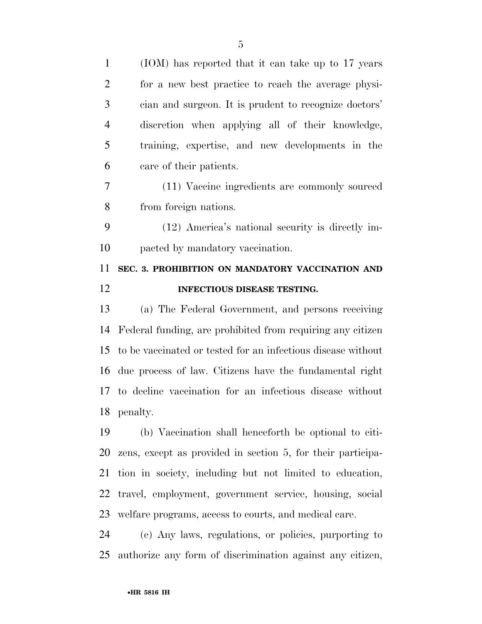| $\mathbf{1}$   | (IOM) has reported that it can take up to 17 years           |
|----------------|--------------------------------------------------------------|
| $\overline{2}$ | for a new best practice to reach the average physi-          |
| 3              | cian and surgeon. It is prudent to recognize doctors'        |
| $\overline{4}$ | discretion when applying all of their knowledge,             |
| 5              | training, expertise, and new developments in the             |
| 6              | care of their patients.                                      |
| 7              | (11) Vaccine ingredients are commonly sourced                |
| 8              | from foreign nations.                                        |
| 9              | (12) America's national security is directly im-             |
| 10             | pacted by mandatory vaccination.                             |
| 11             | SEC. 3. PROHIBITION ON MANDATORY VACCINATION AND             |
| 12             | INFECTIOUS DISEASE TESTING.                                  |
|                |                                                              |
| 13             | (a) The Federal Government, and persons receiving            |
| 14             | Federal funding, are prohibited from requiring any citizen   |
|                | to be vaccinated or tested for an infectious disease without |
| 15<br>16       | due process of law. Citizens have the fundamental right      |
| 17             | to decline vaccination for an infectious disease without     |
|                | 18 penalty.                                                  |
| 19             | (b) Vaccination shall henceforth be optional to citi-        |
| 20             | zens, except as provided in section 5, for their participa-  |
| 21             | tion in society, including but not limited to education,     |
| 22             | travel, employment, government service, housing, social      |
| 23             | welfare programs, access to courts, and medical care.        |

authorize any form of discrimination against any citizen,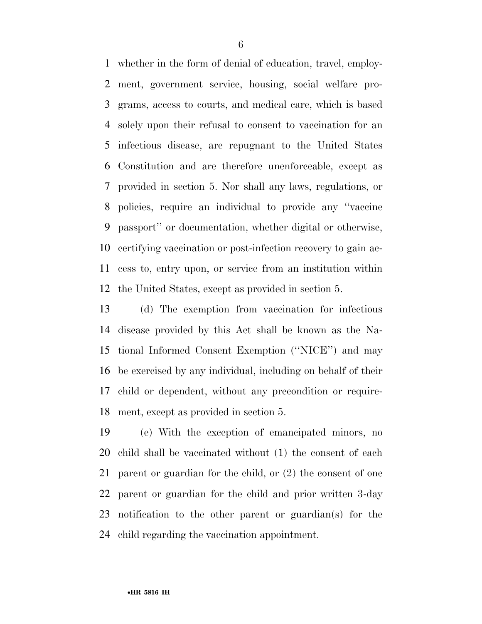whether in the form of denial of education, travel, employ- ment, government service, housing, social welfare pro- grams, access to courts, and medical care, which is based solely upon their refusal to consent to vaccination for an infectious disease, are repugnant to the United States Constitution and are therefore unenforceable, except as provided in section 5. Nor shall any laws, regulations, or policies, require an individual to provide any ''vaccine passport'' or documentation, whether digital or otherwise, certifying vaccination or post-infection recovery to gain ac- cess to, entry upon, or service from an institution within the United States, except as provided in section 5.

 (d) The exemption from vaccination for infectious disease provided by this Act shall be known as the Na- tional Informed Consent Exemption (''NICE'') and may be exercised by any individual, including on behalf of their child or dependent, without any precondition or require-ment, except as provided in section 5.

 (e) With the exception of emancipated minors, no child shall be vaccinated without (1) the consent of each parent or guardian for the child, or (2) the consent of one parent or guardian for the child and prior written 3-day notification to the other parent or guardian(s) for the child regarding the vaccination appointment.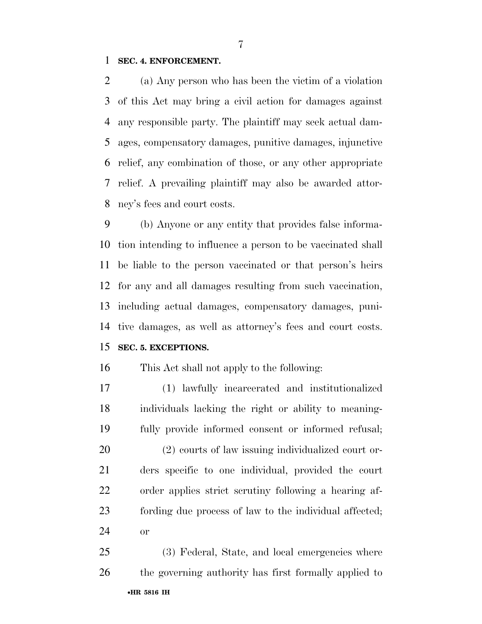#### **SEC. 4. ENFORCEMENT.**

 (a) Any person who has been the victim of a violation of this Act may bring a civil action for damages against any responsible party. The plaintiff may seek actual dam- ages, compensatory damages, punitive damages, injunctive relief, any combination of those, or any other appropriate relief. A prevailing plaintiff may also be awarded attor-ney's fees and court costs.

 (b) Anyone or any entity that provides false informa- tion intending to influence a person to be vaccinated shall be liable to the person vaccinated or that person's heirs for any and all damages resulting from such vaccination, including actual damages, compensatory damages, puni- tive damages, as well as attorney's fees and court costs. **SEC. 5. EXCEPTIONS.** 

This Act shall not apply to the following:

 (1) lawfully incarcerated and institutionalized individuals lacking the right or ability to meaning- fully provide informed consent or informed refusal; (2) courts of law issuing individualized court or- ders specific to one individual, provided the court order applies strict scrutiny following a hearing af- fording due process of law to the individual affected; or

•**HR 5816 IH** (3) Federal, State, and local emergencies where the governing authority has first formally applied to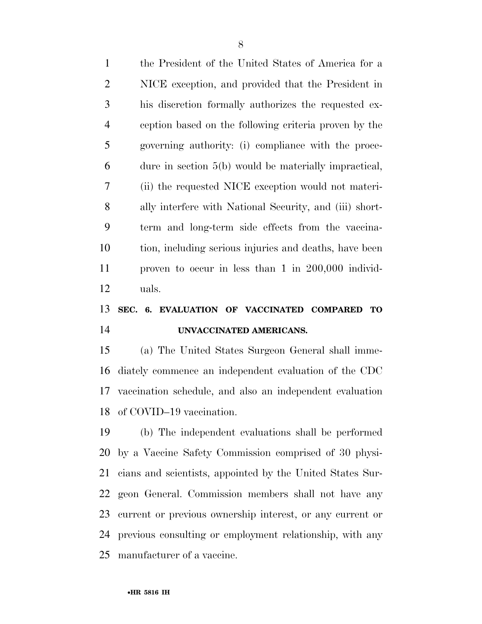| $\mathbf{1}$   | the President of the United States of America for a     |
|----------------|---------------------------------------------------------|
| 2              | NICE exception, and provided that the President in      |
| 3              | his discretion formally authorizes the requested ex-    |
| $\overline{4}$ | ception based on the following criteria proven by the   |
| 5              | governing authority: (i) compliance with the proce-     |
| 6              | dure in section $5(b)$ would be materially impractical, |
| 7              | (ii) the requested NICE exception would not materi-     |
| 8              | ally interfere with National Security, and (iii) short- |
| 9              | term and long-term side effects from the vaccina-       |
| 10             | tion, including serious injuries and deaths, have been  |
| 11             | proven to occur in less than $1$ in $200,000$ individ-  |
| 12             | uals.                                                   |
|                |                                                         |

## **SEC. 6. EVALUATION OF VACCINATED COMPARED TO UNVACCINATED AMERICANS.**

 (a) The United States Surgeon General shall imme- diately commence an independent evaluation of the CDC vaccination schedule, and also an independent evaluation of COVID–19 vaccination.

 (b) The independent evaluations shall be performed by a Vaccine Safety Commission comprised of 30 physi- cians and scientists, appointed by the United States Sur- geon General. Commission members shall not have any current or previous ownership interest, or any current or previous consulting or employment relationship, with any manufacturer of a vaccine.